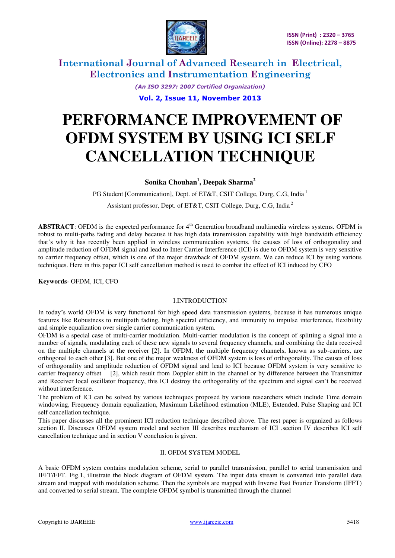

> *(An ISO 3297: 2007 Certified Organization)*  **Vol. 2, Issue 11, November 2013**

# **PERFORMANCE IMPROVEMENT OF OFDM SYSTEM BY USING ICI SELF CANCELLATION TECHNIQUE**

### **Sonika Chouhan<sup>1</sup> , Deepak Sharma<sup>2</sup>**

PG Student [Communication], Dept. of ET&T, CSIT College, Durg, C.G, India<sup>1</sup>

Assistant professor, Dept. of ET&T, CSIT College, Durg, C.G, India<sup>2</sup>

**ABSTRACT**: OFDM is the expected performance for  $4<sup>th</sup>$  Generation broadband multimedia wireless systems. OFDM is robust to multi-paths fading and delay because it has high data transmission capability with high bandwidth efficiency that's why it has recently been applied in wireless communication systems. the causes of loss of orthogonality and amplitude reduction of OFDM signal and lead to Inter Carrier Interference (ICI) is due to OFDM system is very sensitive to carrier frequency offset, which is one of the major drawback of OFDM system. We can reduce ICI by using various techniques. Here in this paper ICI self cancellation method is used to combat the effect of ICI induced by CFO

**Keywords***-* OFDM, ICI, CFO

### I.INTRODUCTION

In today's world OFDM is very functional for high speed data transmission systems, because it has numerous unique features like Robustness to multipath fading, high spectral efficiency, and immunity to impulse interference, flexibility and simple equalization over single carrier communication system.

OFDM is a special case of multi-carrier modulation. Multi-carrier modulation is the concept of splitting a signal into a number of signals, modulating each of these new signals to several frequency channels, and combining the data received on the multiple channels at the receiver [2]. In OFDM, the multiple frequency channels, known as sub-carriers, are orthogonal to each other [3]. But one of the major weakness of OFDM system is loss of orthogonality. The causes of loss of orthogonality and amplitude reduction of OFDM signal and lead to ICI because OFDM system is very sensitive to carrier frequency offset [2], which result from Doppler shift in the channel or by difference between the Transmitter and Receiver local oscillator frequency, this ICI destroy the orthogonality of the spectrum and signal can't be received without interference.

The problem of ICI can be solved by various techniques proposed by various researchers which include Time domain windowing, Frequency domain equalization, Maximum Likelihood estimation (MLE), Extended, Pulse Shaping and ICI self cancellation technique.

This paper discusses all the prominent ICI reduction technique described above. The rest paper is organized as follows section II. Discusses OFDM system model and section III describes mechanism of ICI .section IV describes ICI self cancellation technique and in section V conclusion is given.

### II. OFDM SYSTEM MODEL

A basic OFDM system contains modulation scheme, serial to parallel transmission, parallel to serial transmission and IFFT/FFT. Fig.1, illustrate the block diagram of OFDM system. The input data stream is converted into parallel data stream and mapped with modulation scheme. Then the symbols are mapped with Inverse Fast Fourier Transform (IFFT) and converted to serial stream. The complete OFDM symbol is transmitted through the channel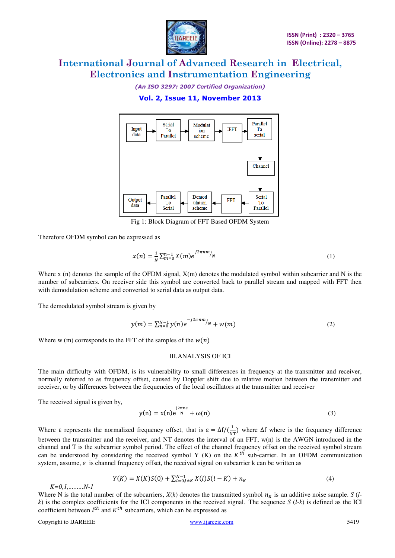

*(An ISO 3297: 2007 Certified Organization)* 

**Vol. 2, Issue 11, November 2013** 



Fig 1: Block Diagram of FFT Based OFDM System

Therefore OFDM symbol can be expressed as

$$
x(n) = \frac{1}{N} \sum_{m=0}^{n-1} X(m) e^{j2\pi n m / N}
$$
 (1)

Where x (n) denotes the sample of the OFDM signal,  $X(m)$  denotes the modulated symbol within subcarrier and N is the number of subcarriers. On receiver side this symbol are converted back to parallel stream and mapped with FFT then with demodulation scheme and converted to serial data as output data.

The demodulated symbol stream is given by

$$
y(m) = \sum_{n=0}^{N-1} y(n) e^{-j2\pi n m / N} + w(m)
$$
 (2)

Where w (m) corresponds to the FFT of the samples of the  $w(n)$ 

#### III.ANALYSIS OF ICI

The main difficulty with OFDM, is its vulnerability to small differences in frequency at the transmitter and receiver, normally referred to as frequency offset, caused by Doppler shift due to relative motion between the transmitter and receiver, or by differences between the frequencies of the local oscillators at the transmitter and receiver

The received signal is given by,

$$
y(n) = x(n)e^{\frac{j2\pi n\varepsilon}{N}} + \omega(n)
$$
 (3)

Where  $\varepsilon$  represents the normalized frequency offset, that is  $\varepsilon = \Delta f/(\frac{1}{NT})$  where  $\Delta f$  where is the frequency difference between the transmitter and the receiver, and NT denotes the interval of an FFT, w(n) is the AWGN introduced in the channel and T is the subcarrier symbol period. The effect of the channel frequency offset on the received symbol stream can be understood by considering the received symbol Y  $(K)$  on the  $K<sup>th</sup>$  sub-carrier. In an OFDM communication system, assume,  $\varepsilon$  is channel frequency offset, the received signal on subcarrier k can be written as

$$
Y(K) = X(K)S(0) + \sum_{l=0, l \neq K}^{N-1} X(l)S(l-K) + n_K
$$
\n(4)

Where N is the total number of the subcarriers,  $X(k)$  denotes the transmitted symbol  $n<sub>K</sub>$  is an additive noise sample. *S* (*l* $k$ ) is the complex coefficients for the ICI components in the received signal. The sequence  $S$  ( $l-k$ ) is defined as the ICI coefficient between  $l^{th}$  and  $K^{th}$  subcarriers, which can be expressed as

*K=0,1,.........N-1*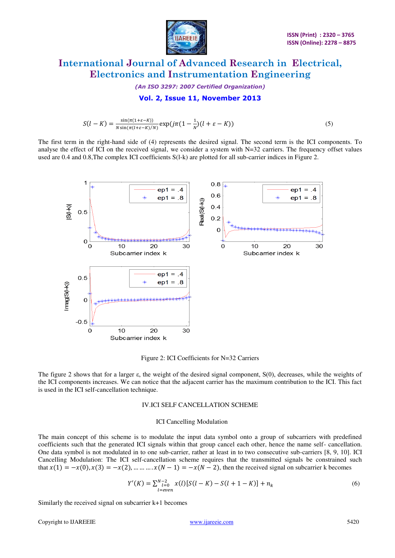

*(An ISO 3297: 2007 Certified Organization)*  **Vol. 2, Issue 11, November 2013** 

$$
S(l - K) = \frac{\sin(\pi(1 + \varepsilon - K))}{N \sin(\pi(l + \varepsilon - K)/N)} \exp(j\pi(1 - \frac{1}{N})(l + \varepsilon - K))
$$
\n(5)

The first term in the right-hand side of (4) represents the desired signal. The second term is the ICI components. To analyse the effect of ICI on the received signal, we consider a system with  $N=32$  carriers. The frequency offset values used are 0.4 and 0.8,The complex ICI coefficients S(l-k) are plotted for all sub-carrier indices in Figure 2.



Figure 2: ICI Coefficients for N=32 Carriers

The figure 2 shows that for a larger ε, the weight of the desired signal component, S(0), decreases, while the weights of the ICI components increases. We can notice that the adjacent carrier has the maximum contribution to the ICI. This fact is used in the ICI self-cancellation technique.

#### IV.ICI SELF CANCELLATION SCHEME

#### ICI Cancelling Modulation

The main concept of this scheme is to modulate the input data symbol onto a group of subcarriers with predefined coefficients such that the generated ICI signals within that group cancel each other, hence the name self- cancellation. One data symbol is not modulated in to one sub-carrier, rather at least in to two consecutive sub-carriers [8, 9, 10]. ICI Cancelling Modulation: The ICI self-cancellation scheme requires that the transmitted signals be constrained such that  $x(1) = -x(0), x(3) = -x(2), \dots, x(N-1) = -x(N-2)$ , then the received signal on subcarrier k becomes

$$
Y'(K) = \sum_{l=even}^{N-2} x(l)[S(l-K) - S(l+1-K)] + n_k
$$
\n(6)

Similarly the received signal on subcarrier k+1 becomes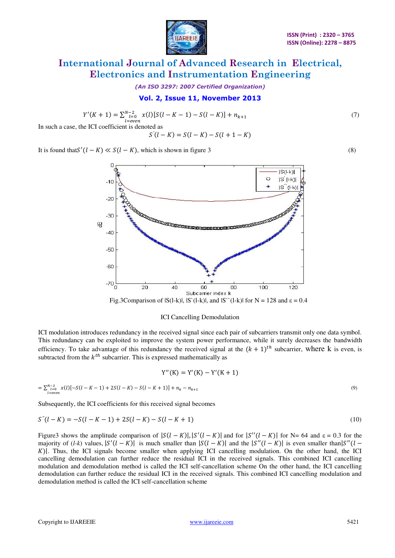

*(An ISO 3297: 2007 Certified Organization)* 

### **Vol. 2, Issue 11, November 2013**

$$
Y'(K+1) = \sum_{\substack{l=even\\l=even}}^{N-2} x(l)[S(l-K-1) - S(l-K)] + n_{k+1}
$$
\n(7)

$$
S'(l - K) = S(l - K) - S(l + 1 - K)
$$

It is found that  $S'(l - K) \ll S(l - K)$ , which is shown in figure 3 (8)



### ICI Cancelling Demodulation

ICI modulation introduces redundancy in the received signal since each pair of subcarriers transmit only one data symbol. This redundancy can be exploited to improve the system power performance, while it surely decreases the bandwidth efficiency. To take advantage of this redundancy the received signal at the  $(k + 1)^{th}$  subcarrier, where k is even, is subtracted from the  $k^{th}$  subcarrier. This is expressed mathematically as

$$
Y''(K) = Y'(K) - Y'(K + 1)
$$
  
=  $\sum_{i=0}^{N-2} x(i)[-S(l-K-1) + 2S(l-K) - S(l-K+1)] + n_k - n_{k+1}$  (9)

Subsequently, the ICI coefficients for this received signal becomes

$$
S''(l - K) = -S(l - K - 1) + 2S(l - K) - S(l - K + 1)
$$
\n(10)

Figure3 shows the amplitude comparison of  $|S(l - K)|$ ,  $|S'(l - K)|$  and for  $|S''(l - K)|$  for N= 64 and  $\varepsilon = 0.3$  for the majority of  $(l-k)$  values,  $|S'(l-K)|$  is much smaller than  $|S(l-K)|$  and the  $|S''(l-K)|$  is even smaller than  $|S''(l-K)|$ K). Thus, the ICI signals become smaller when applying ICI cancelling modulation. On the other hand, the ICI cancelling demodulation can further reduce the residual ICI in the received signals. This combined ICI cancelling modulation and demodulation method is called the ICI self-cancellation scheme On the other hand, the ICI cancelling demodulation can further reduce the residual ICI in the received signals. This combined ICI cancelling modulation and demodulation method is called the ICI self-cancellation scheme

 $\iota$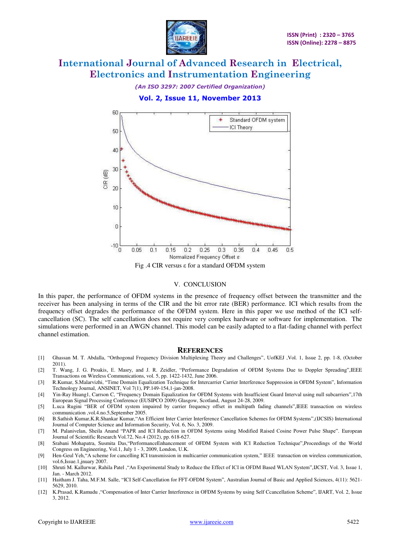

### *(An ISO 3297: 2007 Certified Organization)*  **Vol. 2, Issue 11, November 2013**



#### V. CONCLUSION

In this paper, the performance of OFDM systems in the presence of frequency offset between the transmitter and the receiver has been analysing in terms of the CIR and the bit error rate (BER) performance. ICI which results from the frequency offset degrades the performance of the OFDM system. Here in this paper we use method of the ICI selfcancellation (SC). The self cancellation does not require very complex hardware or software for implementation. The simulations were performed in an AWGN channel. This model can be easily adapted to a flat-fading channel with perfect channel estimation.

#### **REFERENCES**

- [1] Ghassan M. T. Abdalla, "Orthogonal Frequency Division Multiplexing Theory and Challenges", UofKEJ ,Vol. 1, Issue 2, pp. 1-8, (October 2011).
- [2] T. Wang, J. G. Proakis, E. Masry, and J. R. Zeidler, "Performance Degradation of OFDM Systems Due to Doppler Spreading",IEEE Transactions on Wireless Communications, vol. 5, pp. 1422-1432, June 2006.
- [3] R.Kumar, S.Malarvizhi, "Time Domain Equalization Technique for Intercarrier Carrier Interference Suppression in OFDM System", Information Technology Journal, ANSINET, Vol 7(1), PP.149-154,1-jan-2008.
- [4] Yin-Ray Huang1, Carrson C, "Frequency Domain Equalization for OFDM Systems with Insufficient Guard Interval using null subcarriers",17th European Signal Processing Conference (EUSIPCO 2009) Glasgow, Scotland, August 24-28, 2009.
- [5] L.uca Rugini "BER of OFDM system impaired by carrier frequency offset in multipath fading channels",IEEE transaction on wireless communication ,vol.4.no.5,September 2005.
- [6] B.Sathish Kumar,K.R.Shankar Kumar,"An Efficient Inter Carrier Interference Cancellation Schemes for OFDM Systems",(IJCSIS) International Journal of Computer Science and Information Security, Vol. 6, No. 3, 2009.
- [7] M. Palanivelan, Sheila Anand "PAPR and ICI Reduction in OFDM Systems using Modified Raised Cosine Power Pulse Shape". European Journal of Scientific Research Vol.72, No.4 (2012), pp. 618-627.
- [8] Srabani Mohapatra, Susmita Das,"PerformanceEnhancement of OFDM System with ICI Reduction Technique",Proceedings of the World Congress on Engineering, Vol.1, July 1 - 3, 2009, London, U.K.
- [9] Hen-Geul Yeh,"A scheme for cancelling ICI transmission in multicarrier communication system," IEEE transaction on wireless communication, vol.6, Issue.1, inuary 2007
- [10] Shruti M. Kallurwar, Rahila Patel ,"An Experimental Study to Reduce the Effect of ICI in OFDM Based WLAN System",IJCST, Vol. 3, Issue 1, Jan. - March 2012.
- [11] Haitham J. Taha, M.F.M. Salle, "ICI Self-Cancellation for FFT-OFDM System", Australian Journal of Basic and Applied Sciences, 4(11): 5621- 5629, 2010.
- [12] K.Prasad, K.Ramudu ,"Compensation of Inter Carrier Interference in OFDM Systems by using Self Ccancellation Scheme", IJART, Vol. 2, Issue 3, 2012.